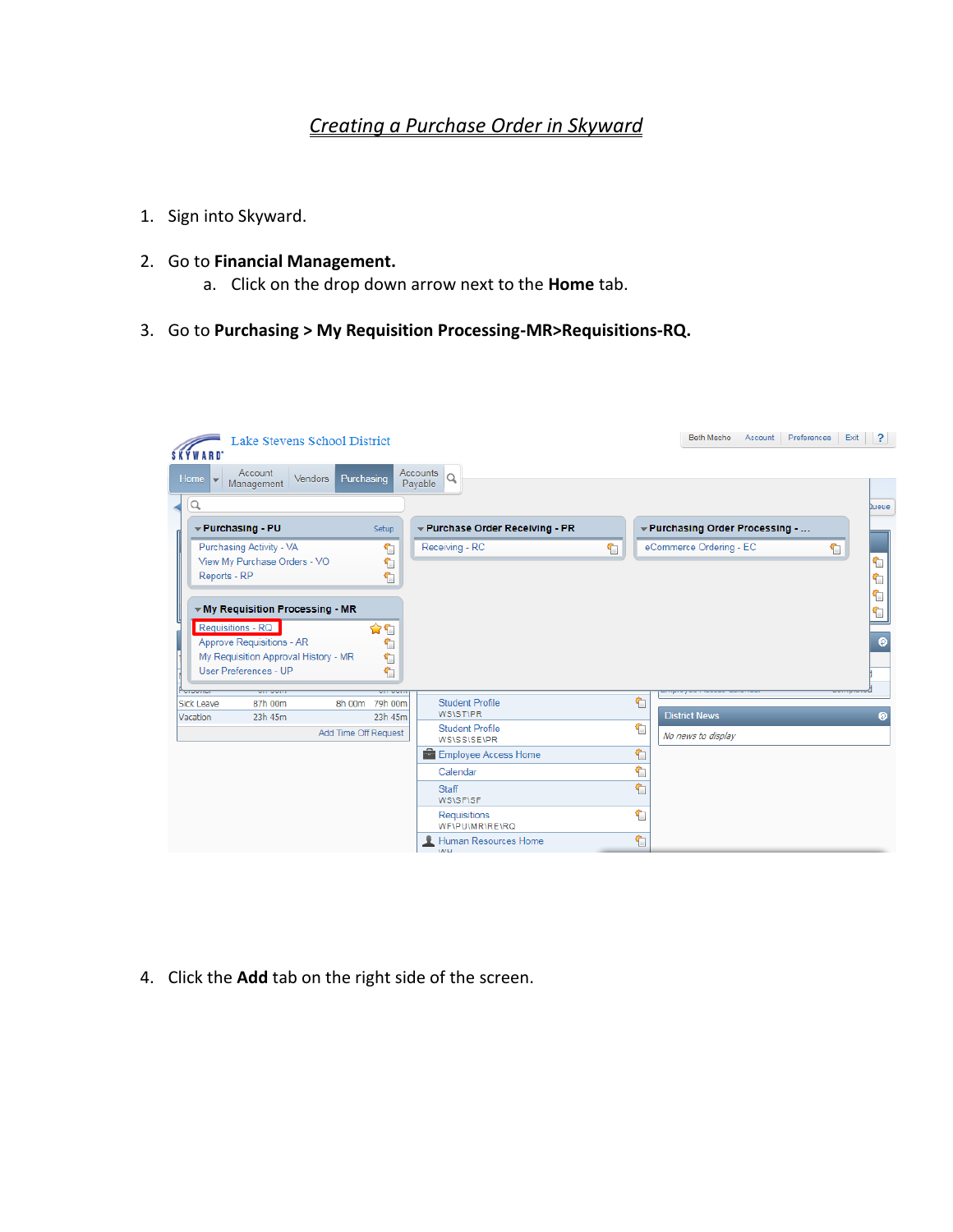## *Creating a Purchase Order in Skyward*

- 1. Sign into Skyward.
- 2. Go to **Financial Management.**
	- a. Click on the drop down arrow next to the **Home** tab.
- 3. Go to **Purchasing > My Requisition Processing-MR>Requisitions-RQ.**

| <b>SKYWARD</b>                | Lake Stevens School District                                                               |                              |                                                   |   | <b>Beth Macho</b><br>Account                               | Preferences<br>Exit<br>$\overline{?}$ |
|-------------------------------|--------------------------------------------------------------------------------------------|------------------------------|---------------------------------------------------|---|------------------------------------------------------------|---------------------------------------|
| <b>Home</b>                   | Account<br>Vendors  <br>Management                                                         | Purchasing                   | Accounts<br>Q<br>Payable                          |   |                                                            |                                       |
| Q                             | Purchasing - PU<br>Purchasing Activity - VA<br>View My Purchase Orders - VO                | Setup<br>↰<br>€              | ▼ Purchase Order Receiving - PR<br>Receiving - RC | € | ← Purchasing Order Processing -<br>eCommerce Ordering - EC | <b>Queue</b><br>€<br>٢                |
| Reports - RP                  | ▼ My Requisition Processing - MR<br>Requisitions - RQ                                      | €<br>✿€                      |                                                   |   |                                                            | ₠                                     |
|                               | Approve Requisitions - AR<br>My Requisition Approval History - MR<br>User Preferences - UP | $\hat{\mathbf{Y}}$<br>٢<br>€ |                                                   |   |                                                            | $\bullet$                             |
| <b>Sick Leave</b><br>Vacation | 87h 00m<br>23h 45m                                                                         | 8h 00m<br>79h 00m<br>23h 45m | <b>Student Profile</b><br><b>WS\ST\PR</b>         | € | <b>District News</b>                                       | ๏                                     |
|                               |                                                                                            | Add Time Off Request         | <b>Student Profile</b><br><b>WS\SS\SE\PR</b>      | € | No news to display                                         |                                       |
|                               |                                                                                            |                              | Employee Access Home                              | € |                                                            |                                       |
|                               |                                                                                            |                              | Calendar                                          | ٣ |                                                            |                                       |
|                               |                                                                                            |                              | <b>Staff</b><br><b>WS\SF\SF</b>                   | t |                                                            |                                       |
|                               |                                                                                            |                              | <b>Requisitions</b><br><b>WFIPUIMRIREIRQ</b>      | € |                                                            |                                       |
|                               |                                                                                            |                              | Human Resources Home<br><b>SAZE</b>               | € |                                                            |                                       |

4. Click the **Add** tab on the right side of the screen.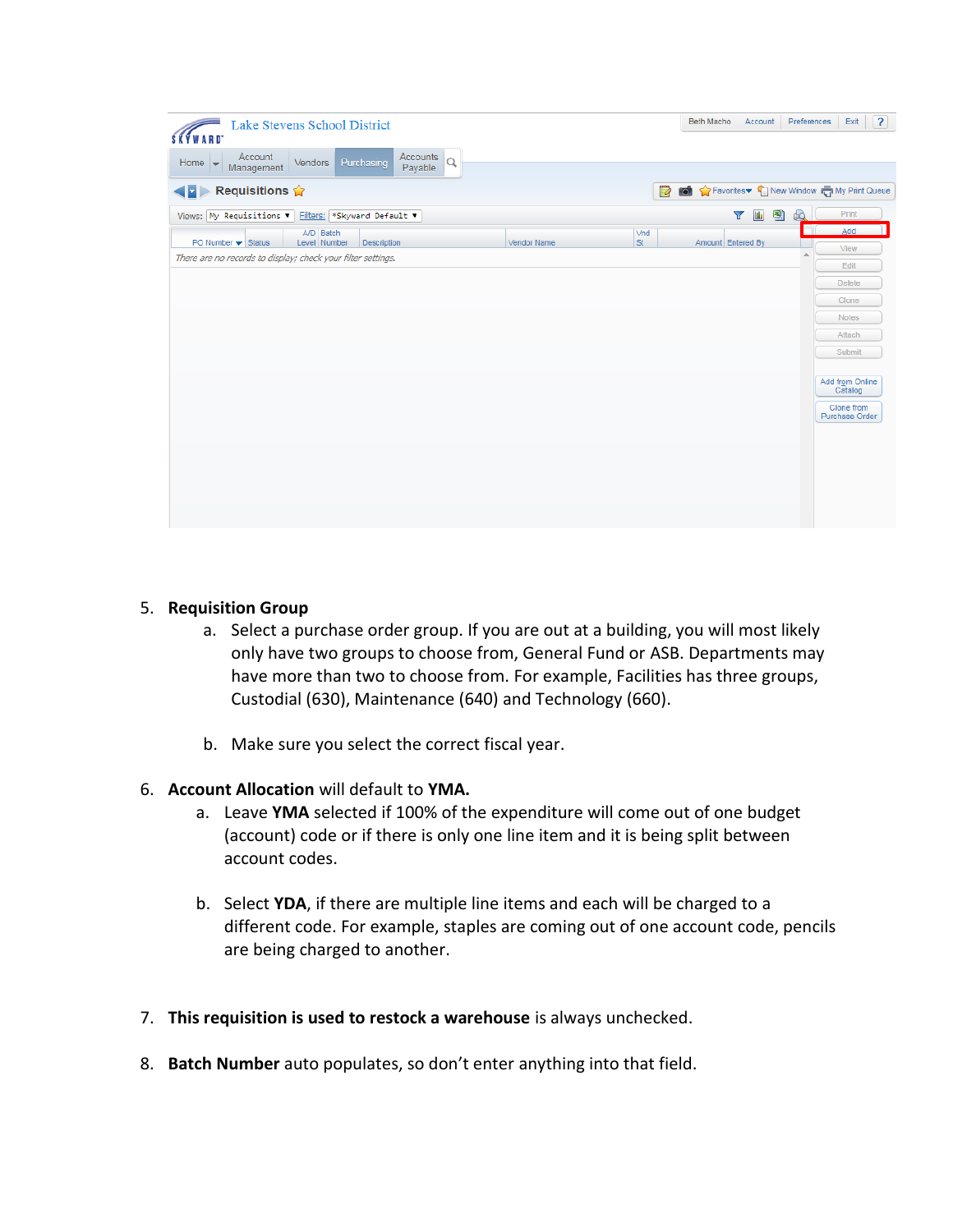| Lake Stevens School District<br><b>SKYWARD</b>                                     |             |                  | Beth Macho<br>Account                        | $\overline{?}$<br>Preferences<br>Exit                  |
|------------------------------------------------------------------------------------|-------------|------------------|----------------------------------------------|--------------------------------------------------------|
| Accounts $Q$<br>Account<br>Management<br>Purchasing<br>Home<br>Vendors             |             |                  |                                              |                                                        |
| Requisitions $\hat{\mathbf{w}}$<br>( <b>I</b> )                                    |             | Ø                |                                              | in the Favorites ▼ Space Window Control My Print Queue |
| Views: My Requisitions v<br>Filters: *Skyward Default ▼                            |             |                  | $\mathbf{u}_\mathrm{t}$<br>뾈<br>$\mathbf{v}$ | Print<br>B)                                            |
| A/D Batch<br>PO Number $\blacktriangleright$ Status<br>Level Number<br>Description | Vendor Name | Vnd<br><b>St</b> | Amount Entered By                            | Add<br>View                                            |
| There are no records to display; check your filter settings.                       |             |                  |                                              | Edit                                                   |
|                                                                                    |             |                  |                                              | <b>Delete</b>                                          |
|                                                                                    |             |                  |                                              | Clone                                                  |
|                                                                                    |             |                  |                                              | Notes                                                  |
|                                                                                    |             |                  |                                              | Attach<br>Submit                                       |
|                                                                                    |             |                  |                                              |                                                        |
|                                                                                    |             |                  |                                              | Add from Online<br>Catalog                             |
|                                                                                    |             |                  |                                              | Clone from<br>Purchase Order                           |
|                                                                                    |             |                  |                                              |                                                        |
|                                                                                    |             |                  |                                              |                                                        |
|                                                                                    |             |                  |                                              |                                                        |
|                                                                                    |             |                  |                                              |                                                        |
|                                                                                    |             |                  |                                              |                                                        |

### 5. **Requisition Group**

- a. Select a purchase order group. If you are out at a building, you will most likely only have two groups to choose from, General Fund or ASB. Departments may have more than two to choose from. For example, Facilities has three groups, Custodial (630), Maintenance (640) and Technology (660).
- b. Make sure you select the correct fiscal year.

#### 6. **Account Allocation** will default to **YMA.**

- a. Leave **YMA** selected if 100% of the expenditure will come out of one budget (account) code or if there is only one line item and it is being split between account codes.
- b. Select **YDA**, if there are multiple line items and each will be charged to a different code. For example, staples are coming out of one account code, pencils are being charged to another.
- 7. **This requisition is used to restock a warehouse** is always unchecked.
- 8. **Batch Number** auto populates, so don't enter anything into that field.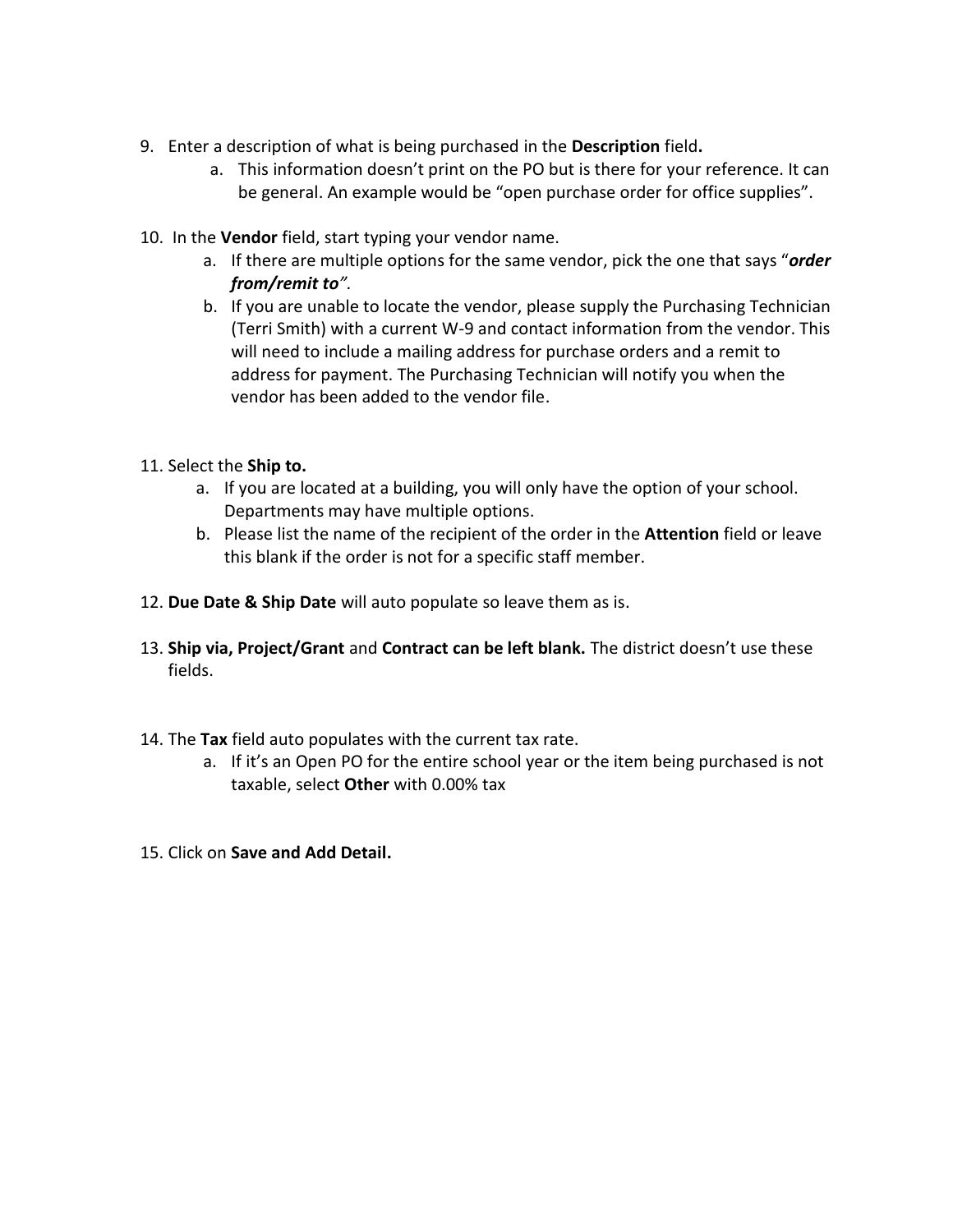- 9. Enter a description of what is being purchased in the **Description** field**.**
	- a. This information doesn't print on the PO but is there for your reference. It can be general. An example would be "open purchase order for office supplies".
- 10. In the **Vendor** field, start typing your vendor name.
	- a. If there are multiple options for the same vendor, pick the one that says "*order from/remit to".*
	- b. If you are unable to locate the vendor, please supply the Purchasing Technician (Terri Smith) with a current W-9 and contact information from the vendor. This will need to include a mailing address for purchase orders and a remit to address for payment. The Purchasing Technician will notify you when the vendor has been added to the vendor file.
- 11. Select the **Ship to.**
	- a. If you are located at a building, you will only have the option of your school. Departments may have multiple options.
	- b. Please list the name of the recipient of the order in the **Attention** field or leave this blank if the order is not for a specific staff member.
- 12. **Due Date & Ship Date** will auto populate so leave them as is.
- 13. **Ship via, Project/Grant** and **Contract can be left blank.** The district doesn't use these fields.
- 14. The **Tax** field auto populates with the current tax rate.
	- a. If it's an Open PO for the entire school year or the item being purchased is not taxable, select **Other** with 0.00% tax
- 15. Click on **Save and Add Detail.**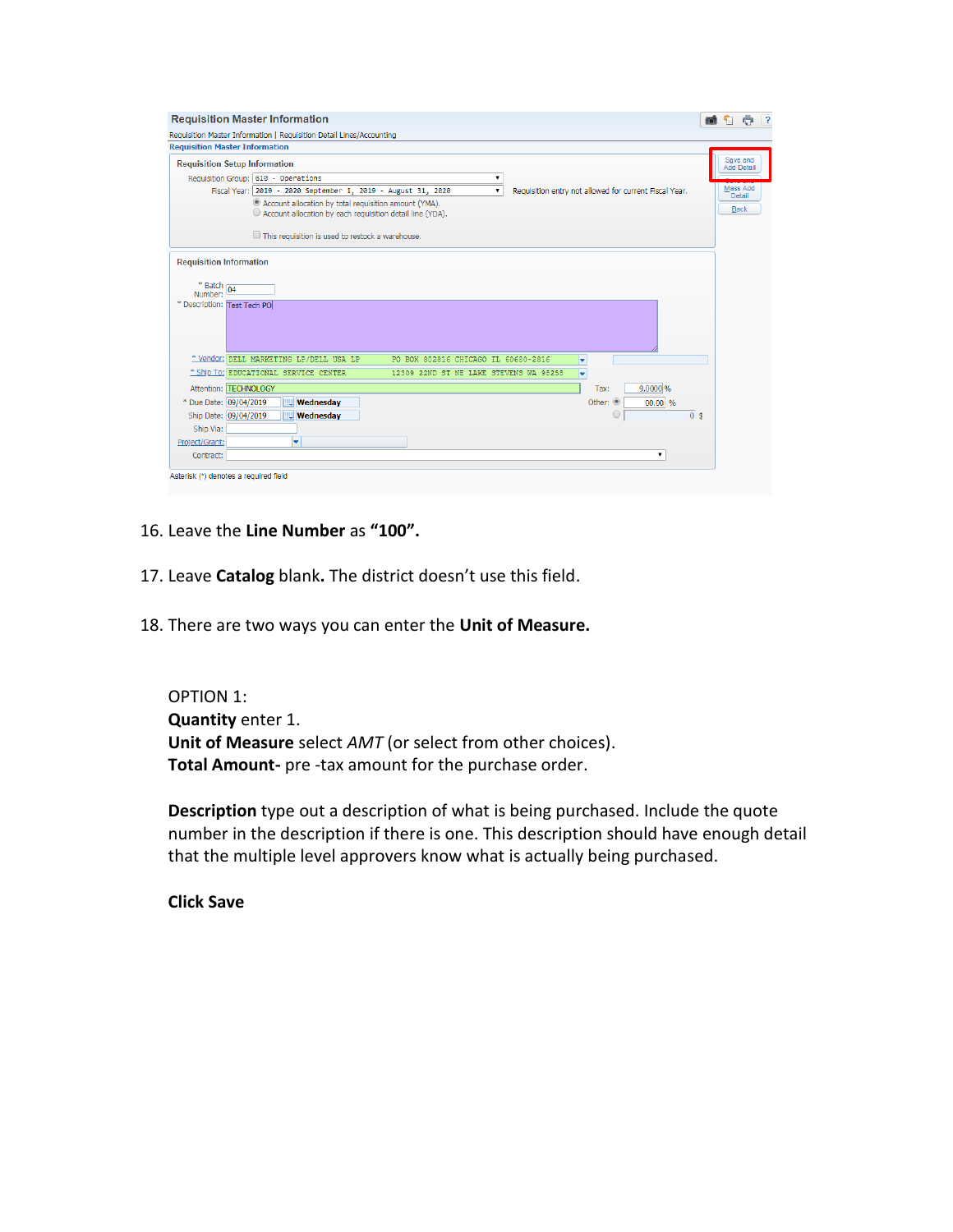| <b>Requisition Master Information</b>                                                                  |                                                                                                                                   | io.<br>÷                                                                     |
|--------------------------------------------------------------------------------------------------------|-----------------------------------------------------------------------------------------------------------------------------------|------------------------------------------------------------------------------|
|                                                                                                        | Requisition Master Information   Requisition Detail Lines/Accounting                                                              |                                                                              |
| <b>Requisition Master Information</b>                                                                  |                                                                                                                                   |                                                                              |
| <b>Requisition Setup Information</b>                                                                   |                                                                                                                                   | Save and<br><b>Add Detail</b>                                                |
|                                                                                                        | Requisition Group: 610 - Operations<br>▼                                                                                          |                                                                              |
|                                                                                                        | Fiscal Year: 2019 - 2020 September 1, 2019 - August 31, 2020<br>۰.                                                                | Mass Add<br>Requisition entry not allowed for current Fiscal Year.<br>Detail |
|                                                                                                        | <sup>®</sup> Account allocation by total requisition amount (YMA).<br>C Account allocation by each requisition detail line (YDA). | <b>Back</b>                                                                  |
|                                                                                                        | This requisition is used to restock a warehouse.                                                                                  |                                                                              |
| <b>Requisition Information</b><br>$*$ Batch $\overline{)04}$<br>Number:<br>* Description: Test Tech PO |                                                                                                                                   |                                                                              |
|                                                                                                        | * Vendor: DELL MARKETING LP/DELL USA LP<br>PO BOX 802816 CHICAGO IL 60680-2816                                                    | ۰                                                                            |
|                                                                                                        | * Ship To: EDUCATIONAL SERVICE CENTER<br>12309 22ND ST NE LAKE STEVENS WA 98258                                                   | U                                                                            |
| Attention: TECHNOLOGY                                                                                  |                                                                                                                                   | 9.0000 %<br>Tax:                                                             |
| * Due Date: 09/04/2019                                                                                 | <b>Wednesday</b>                                                                                                                  | Other: ®<br>00.00 %                                                          |
| Ship Date: 09/04/2019                                                                                  | <b>Wednesday</b>                                                                                                                  | $\scriptstyle\bigcirc$<br>0 <sup>5</sup>                                     |
| Ship Via:                                                                                              |                                                                                                                                   |                                                                              |
| Project/Grant:                                                                                         | ۰                                                                                                                                 |                                                                              |
| Contract:                                                                                              |                                                                                                                                   | ۰.                                                                           |
| Asterisk (*) denotes a required field                                                                  |                                                                                                                                   |                                                                              |

- 16. Leave the **Line Number** as **"100".**
- 17. Leave **Catalog** blank**.** The district doesn't use this field.
- 18. There are two ways you can enter the **Unit of Measure.**

OPTION 1: **Quantity** enter 1. **Unit of Measure** select *AMT* (or select from other choices). **Total Amount-** pre -tax amount for the purchase order.

**Description** type out a description of what is being purchased. Include the quote number in the description if there is one. This description should have enough detail that the multiple level approvers know what is actually being purchased.

**Click Save**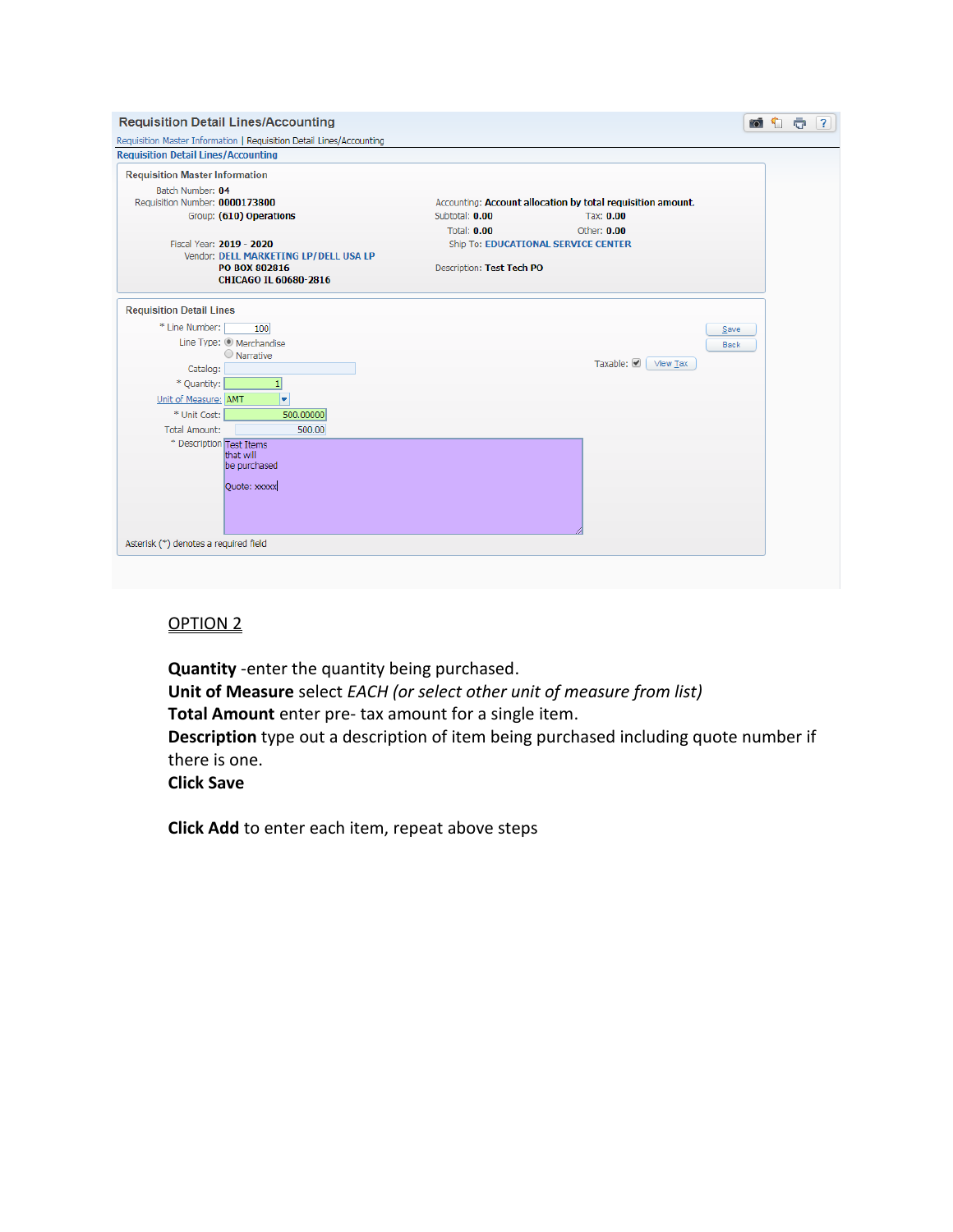| Requisition Master Information   Requisition Detail Lines/Accounting |                           |                                                             |
|----------------------------------------------------------------------|---------------------------|-------------------------------------------------------------|
| <b>Requisition Detail Lines/Accounting</b>                           |                           |                                                             |
| <b>Requisition Master Information</b>                                |                           |                                                             |
| Batch Number: 04                                                     |                           |                                                             |
| Requisition Number: 0000173800                                       |                           | Accounting: Account allocation by total requisition amount. |
| Group: (610) Operations                                              | Subtotal: 0.00            | Tax: 0.00                                                   |
|                                                                      | <b>Total: 0.00</b>        | Other: $0.00$                                               |
| Fiscal Year: 2019 - 2020                                             |                           | Ship To: EDUCATIONAL SERVICE CENTER                         |
| Vendor: DELL MARKETING LP/DELL USA LP                                |                           |                                                             |
| PO BOX 802816                                                        | Description: Test Tech PO |                                                             |
| CHICAGO IL 60680-2816                                                |                           |                                                             |
| <b>Requisition Detail Lines</b>                                      |                           |                                                             |
| * Line Number:<br>100                                                |                           | Save                                                        |
| Line Type: @ Merchandise                                             |                           |                                                             |
| O Narrative                                                          |                           | Back                                                        |
| Catalog:                                                             |                           | Taxable: ☑<br>View Tax                                      |
| * Quantity:                                                          |                           |                                                             |
| Unit of Measure: AMT<br>÷                                            |                           |                                                             |
| * Unit Cost:<br>500.00000                                            |                           |                                                             |
| <b>Total Amount:</b><br>500.00                                       |                           |                                                             |
| * Description Test Items                                             |                           |                                                             |
| that will                                                            |                           |                                                             |
| be purchased                                                         |                           |                                                             |
| Quote: xxxxx                                                         |                           |                                                             |
|                                                                      |                           |                                                             |
|                                                                      |                           |                                                             |
|                                                                      |                           |                                                             |
| Asterisk (*) denotes a required field                                |                           |                                                             |

# OPTION 2

**Quantity** -enter the quantity being purchased. **Unit of Measure** select *EACH (or select other unit of measure from list)* **Total Amount** enter pre- tax amount for a single item.

**Description** type out a description of item being purchased including quote number if there is one.

**Click Save**

**Click Add** to enter each item, repeat above steps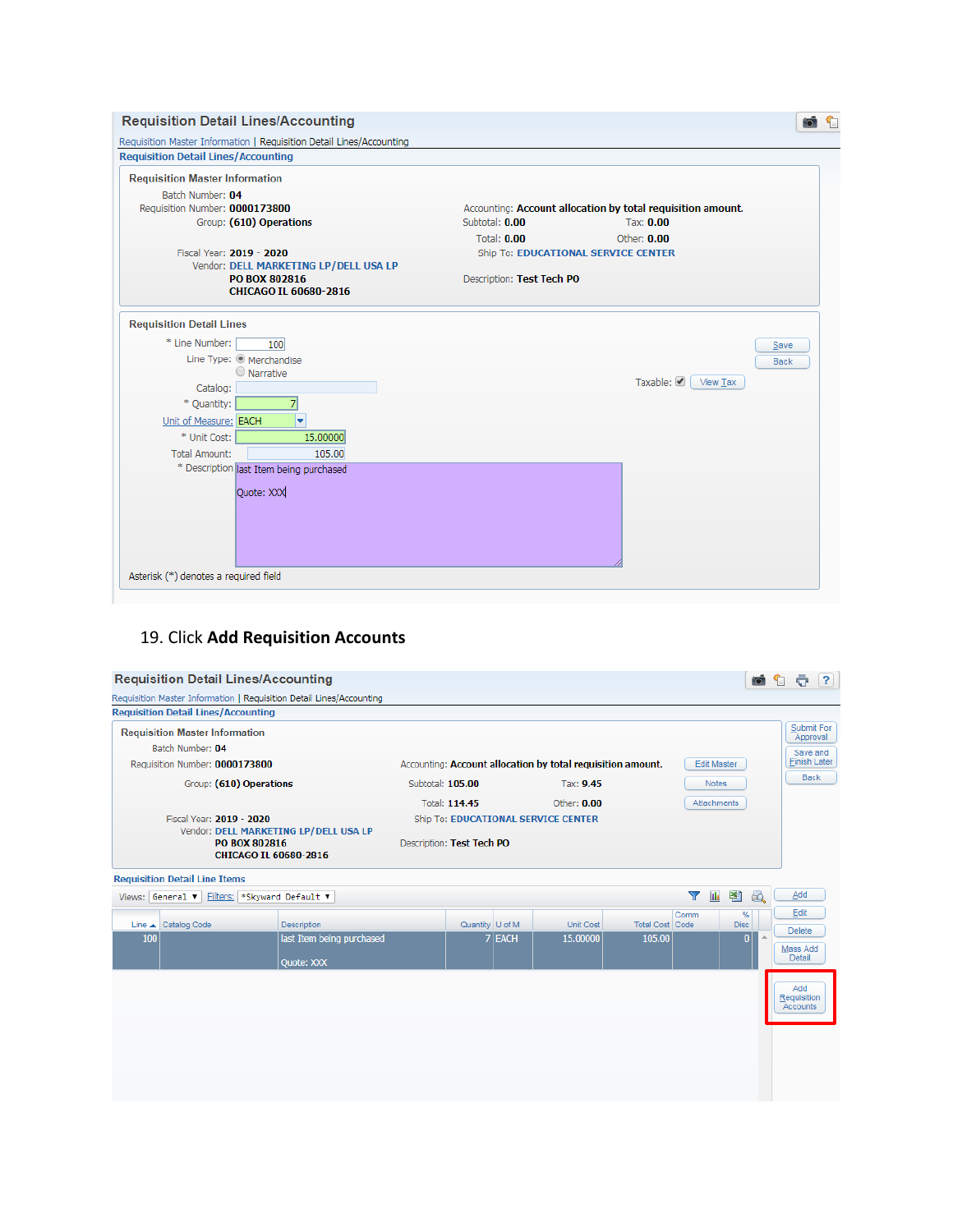| <b>Requisition Detail Lines/Accounting</b>                        |                                                             |
|-------------------------------------------------------------------|-------------------------------------------------------------|
| <b>Requisition Master Information</b>                             |                                                             |
| Batch Number: 04                                                  |                                                             |
| Requisition Number: 0000173800                                    | Accounting: Account allocation by total requisition amount. |
| Group: (610) Operations                                           | Subtotal: 0.00<br>Tax: 0.00                                 |
|                                                                   | <b>Total: 0.00</b><br>Other: 0.00                           |
| Fiscal Year: 2019 - 2020<br>Vendor: DELL MARKETING LP/DELL USA LP | Ship To: EDUCATIONAL SERVICE CENTER                         |
| PO BOX 802816                                                     | Description: Test Tech PO                                   |
| CHICAGO IL 60680-2816                                             |                                                             |
|                                                                   |                                                             |
| <b>Requisition Detail Lines</b>                                   |                                                             |
| * Line Number:<br>100                                             | Save                                                        |
| Line Type: @ Merchandise                                          | Back                                                        |
| O Narrative                                                       | Taxable: ● View Tax                                         |
| Catalog:                                                          |                                                             |
| * Quantity:<br>71                                                 |                                                             |
| ٠<br>Unit of Measure: EACH                                        |                                                             |
| * Unit Cost:<br>15.00000                                          |                                                             |
| <b>Total Amount:</b><br>105.00                                    |                                                             |
| * Description last Item being purchased                           |                                                             |
| Ouote: XXX                                                        |                                                             |
|                                                                   |                                                             |
|                                                                   |                                                             |
|                                                                   |                                                             |
|                                                                   |                                                             |

### 19. Click **Add Requisition Accounts**

| <b>Requisition Detail Lines/Accounting</b>   |                                                                      |                           |                 |          |                                                             |                                  |                    | $\bullet$               | $\overline{?}$<br>÷     |
|----------------------------------------------|----------------------------------------------------------------------|---------------------------|-----------------|----------|-------------------------------------------------------------|----------------------------------|--------------------|-------------------------|-------------------------|
|                                              | Requisition Master Information   Requisition Detail Lines/Accounting |                           |                 |          |                                                             |                                  |                    |                         |                         |
| <b>Requisition Detail Lines/Accounting</b>   |                                                                      |                           |                 |          |                                                             |                                  |                    |                         |                         |
| <b>Requisition Master Information</b>        |                                                                      |                           |                 |          |                                                             |                                  |                    |                         | Submit For<br>Approval  |
| Batch Number: 04                             |                                                                      |                           |                 |          |                                                             |                                  |                    |                         | Save and                |
| Requisition Number: 0000173800               |                                                                      |                           |                 |          | Accounting: Account allocation by total requisition amount. |                                  | <b>Edit Master</b> |                         | <b>Finish Later</b>     |
|                                              | Group: (610) Operations                                              | Subtotal: 105.00          |                 |          | Tax: 9.45                                                   |                                  | <b>Notes</b>       |                         | <b>Back</b>             |
|                                              |                                                                      |                           | Total: 114.45   |          | Other: $0.00$                                               |                                  | <b>Attachments</b> |                         |                         |
| Fiscal Year: 2019 - 2020                     |                                                                      |                           |                 |          | Ship To: EDUCATIONAL SERVICE CENTER                         |                                  |                    |                         |                         |
|                                              | Vendor: DELL MARKETING LP/DELL USA LP<br>PO BOX 802816               | Description: Test Tech PO |                 |          |                                                             |                                  |                    |                         |                         |
|                                              | CHICAGO IL 60680-2816                                                |                           |                 |          |                                                             |                                  |                    |                         |                         |
| <b>Requisition Detail Line Items</b>         |                                                                      |                           |                 |          |                                                             |                                  |                    |                         |                         |
| Views: General v Filters: *Skyward Default v |                                                                      |                           |                 |          |                                                             |                                  | <b>III</b><br>Y    | 剛<br>$\mathbb{R}$       | Add                     |
|                                              |                                                                      |                           |                 |          |                                                             |                                  | Comm               | %                       | Edit                    |
| Line & Catalog Code<br>100                   | Description<br>last Item being purchased                             |                           | Quantity U of M | $7$ EACH | Unit Cost<br>15.00000                                       | <b>Total Cost Code</b><br>105.00 |                    | <b>Disc</b><br>$\bf{0}$ | <b>Delete</b>           |
|                                              |                                                                      |                           |                 |          |                                                             |                                  |                    |                         | Mass Add<br>Detail      |
|                                              | Ouote: XXX                                                           |                           |                 |          |                                                             |                                  |                    |                         |                         |
|                                              |                                                                      |                           |                 |          |                                                             |                                  |                    |                         | Add                     |
|                                              |                                                                      |                           |                 |          |                                                             |                                  |                    |                         | Requisition<br>Accounts |
|                                              |                                                                      |                           |                 |          |                                                             |                                  |                    |                         |                         |
|                                              |                                                                      |                           |                 |          |                                                             |                                  |                    |                         |                         |
|                                              |                                                                      |                           |                 |          |                                                             |                                  |                    |                         |                         |
|                                              |                                                                      |                           |                 |          |                                                             |                                  |                    |                         |                         |
|                                              |                                                                      |                           |                 |          |                                                             |                                  |                    |                         |                         |
|                                              |                                                                      |                           |                 |          |                                                             |                                  |                    |                         |                         |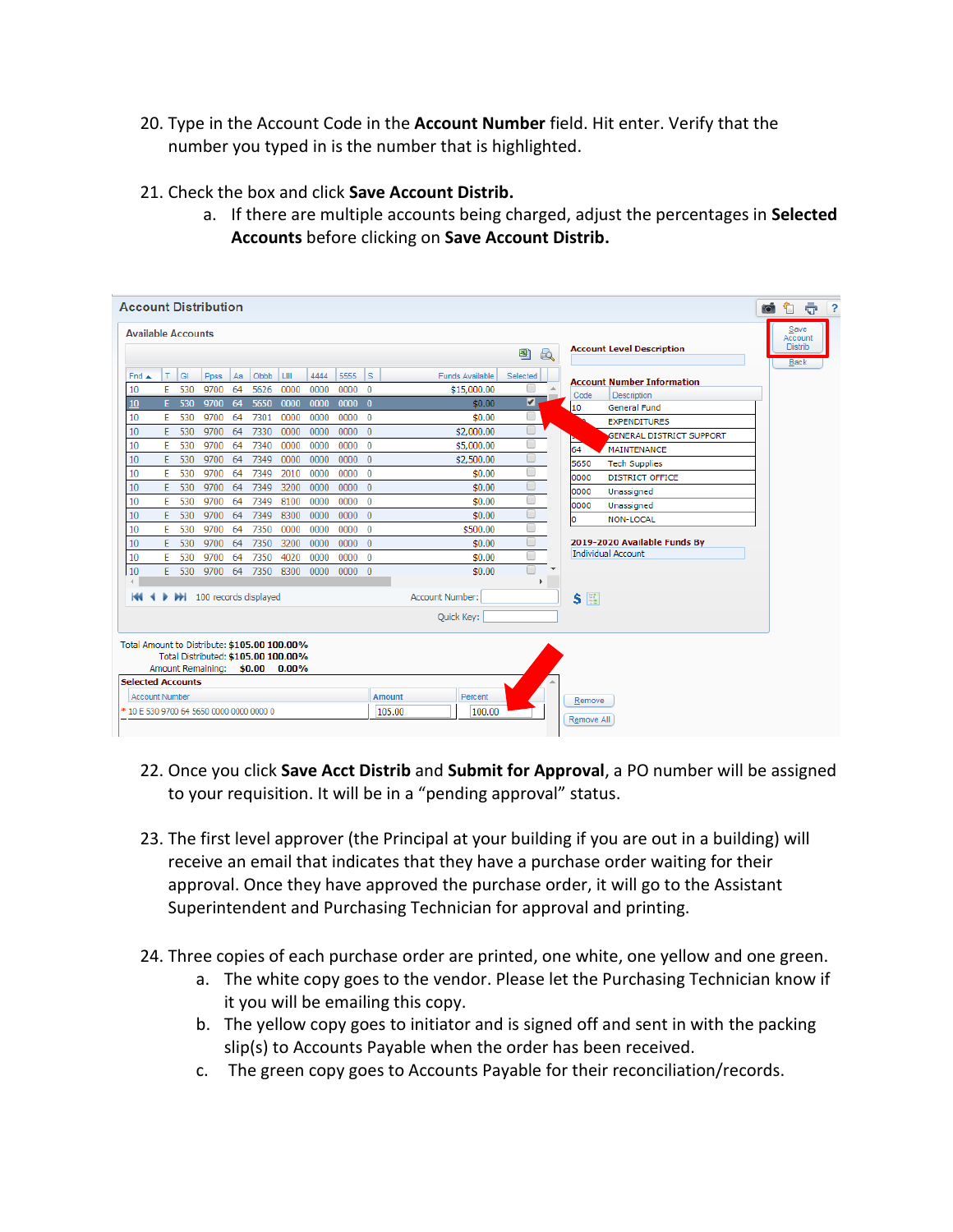- 20. Type in the Account Code in the **Account Number** field. Hit enter. Verify that the number you typed in is the number that is highlighted.
- 21. Check the box and click **Save Account Distrib.**
	- a. If there are multiple accounts being charged, adjust the percentages in **Selected Accounts** before clicking on **Save Account Distrib.**

| <b>Account Level Description</b><br>剛<br>$\mathbb{R}$<br>5555<br>Is.<br>GI<br>Obbb<br>LIII<br>4444<br><b>Funds Available</b><br>т<br>Ppss<br>Aa<br>Selected<br><b>Account Number Information</b><br>E<br>530<br>9700<br>64<br>5626<br>0000<br>0000<br>0000<br>$\overline{0}$<br>\$15,000.00<br>A<br>Code<br>Description<br>◘<br>64<br>5650<br>\$0.00<br>Ε<br>530<br>9700<br>0000<br>0000<br>0000<br>- 0<br>10<br><b>General Fund</b><br>000000<br>Ε<br>530<br>9700<br>64<br>7301<br>0000<br>0000<br>\$0.00<br><b>EXPENDITURES</b><br>0<br>Ε<br>$\overline{0}$<br>\$2,000.00<br>530<br>9700<br>64<br>7330<br>0000<br>0000<br>0000<br><b>GENERAL DISTRICT SUPPORT</b><br>O<br>Ε<br>530<br>9700<br>64<br>7340<br>0000<br>000000<br>0000<br>\$5,000.00<br>64<br><b>MAINTENANCE</b><br>0<br>E<br>0000<br>530<br>9700<br>64<br>7349<br>0000<br>000000<br>\$2,500.00<br>5650<br><b>Tech Supplies</b><br>0<br>E<br>530<br>$\overline{0}$<br>9700<br>64<br>7349<br>2010<br>0000<br>0000<br>\$0.00<br><b>DISTRICT OFFICE</b><br>0000<br>$\Box$<br>E<br>530<br>9700<br>64<br>7349<br>3200<br>0000<br>000000<br>\$0.00<br>0000<br>Unassigned<br>0<br>E<br>530<br>9700<br>7349<br>64<br>8100<br>0000<br>000000<br>\$0.00<br>0000<br>Unassigned<br>$\Box$<br>E<br>000000<br>530<br>9700<br>64<br>7349<br>8300<br>0000<br>\$0.00<br>o<br><b>NON-LOCAL</b><br>O<br>E<br>530<br>9700<br>64<br>7350<br>0000<br>0000<br>$0000 \quad 0$<br>\$500.00<br>2019-2020 Available Funds By<br>$\Box$<br>E<br>0000<br>530<br>9700<br>64<br>7350<br>3200<br>$0000 \quad 0$<br>\$0.00<br>Individual Account<br>∩<br>E<br>530<br>64<br>7350<br>4020<br>0000<br>000000<br>\$0.00<br>9700<br>$\overline{\phantom{a}}$<br>E<br>7350<br>\$0.00<br>530<br>9700<br>64<br>8300<br>0000<br>$0000 \quad 0$<br>r | <b>D</b> DD 100 records displayed<br>Account Number:<br><b>S H</b><br>◂<br>Quick Key:<br>Total Amount to Distribute: \$105.00 100.00% |    | <b>Available Accounts</b> |                                          |  |  |               |         |        |  | Save<br>Account |
|-------------------------------------------------------------------------------------------------------------------------------------------------------------------------------------------------------------------------------------------------------------------------------------------------------------------------------------------------------------------------------------------------------------------------------------------------------------------------------------------------------------------------------------------------------------------------------------------------------------------------------------------------------------------------------------------------------------------------------------------------------------------------------------------------------------------------------------------------------------------------------------------------------------------------------------------------------------------------------------------------------------------------------------------------------------------------------------------------------------------------------------------------------------------------------------------------------------------------------------------------------------------------------------------------------------------------------------------------------------------------------------------------------------------------------------------------------------------------------------------------------------------------------------------------------------------------------------------------------------------------------------------------------------------------------------------------------------------------------------------------------------------------|---------------------------------------------------------------------------------------------------------------------------------------|----|---------------------------|------------------------------------------|--|--|---------------|---------|--------|--|-----------------|
| Find A                                                                                                                                                                                                                                                                                                                                                                                                                                                                                                                                                                                                                                                                                                                                                                                                                                                                                                                                                                                                                                                                                                                                                                                                                                                                                                                                                                                                                                                                                                                                                                                                                                                                                                                                                                  |                                                                                                                                       |    |                           |                                          |  |  |               |         |        |  | <b>Distrib</b>  |
| 10<br>10<br>10                                                                                                                                                                                                                                                                                                                                                                                                                                                                                                                                                                                                                                                                                                                                                                                                                                                                                                                                                                                                                                                                                                                                                                                                                                                                                                                                                                                                                                                                                                                                                                                                                                                                                                                                                          |                                                                                                                                       |    |                           |                                          |  |  |               |         |        |  | Back            |
|                                                                                                                                                                                                                                                                                                                                                                                                                                                                                                                                                                                                                                                                                                                                                                                                                                                                                                                                                                                                                                                                                                                                                                                                                                                                                                                                                                                                                                                                                                                                                                                                                                                                                                                                                                         |                                                                                                                                       |    |                           |                                          |  |  |               |         |        |  |                 |
|                                                                                                                                                                                                                                                                                                                                                                                                                                                                                                                                                                                                                                                                                                                                                                                                                                                                                                                                                                                                                                                                                                                                                                                                                                                                                                                                                                                                                                                                                                                                                                                                                                                                                                                                                                         |                                                                                                                                       |    |                           |                                          |  |  |               |         |        |  |                 |
|                                                                                                                                                                                                                                                                                                                                                                                                                                                                                                                                                                                                                                                                                                                                                                                                                                                                                                                                                                                                                                                                                                                                                                                                                                                                                                                                                                                                                                                                                                                                                                                                                                                                                                                                                                         |                                                                                                                                       |    |                           |                                          |  |  |               |         |        |  |                 |
| 10                                                                                                                                                                                                                                                                                                                                                                                                                                                                                                                                                                                                                                                                                                                                                                                                                                                                                                                                                                                                                                                                                                                                                                                                                                                                                                                                                                                                                                                                                                                                                                                                                                                                                                                                                                      |                                                                                                                                       | 10 |                           |                                          |  |  |               |         |        |  |                 |
|                                                                                                                                                                                                                                                                                                                                                                                                                                                                                                                                                                                                                                                                                                                                                                                                                                                                                                                                                                                                                                                                                                                                                                                                                                                                                                                                                                                                                                                                                                                                                                                                                                                                                                                                                                         |                                                                                                                                       |    |                           |                                          |  |  |               |         |        |  |                 |
|                                                                                                                                                                                                                                                                                                                                                                                                                                                                                                                                                                                                                                                                                                                                                                                                                                                                                                                                                                                                                                                                                                                                                                                                                                                                                                                                                                                                                                                                                                                                                                                                                                                                                                                                                                         |                                                                                                                                       | 10 |                           |                                          |  |  |               |         |        |  |                 |
| 10<br>10                                                                                                                                                                                                                                                                                                                                                                                                                                                                                                                                                                                                                                                                                                                                                                                                                                                                                                                                                                                                                                                                                                                                                                                                                                                                                                                                                                                                                                                                                                                                                                                                                                                                                                                                                                |                                                                                                                                       | 10 |                           |                                          |  |  |               |         |        |  |                 |
|                                                                                                                                                                                                                                                                                                                                                                                                                                                                                                                                                                                                                                                                                                                                                                                                                                                                                                                                                                                                                                                                                                                                                                                                                                                                                                                                                                                                                                                                                                                                                                                                                                                                                                                                                                         |                                                                                                                                       |    |                           |                                          |  |  |               |         |        |  |                 |
|                                                                                                                                                                                                                                                                                                                                                                                                                                                                                                                                                                                                                                                                                                                                                                                                                                                                                                                                                                                                                                                                                                                                                                                                                                                                                                                                                                                                                                                                                                                                                                                                                                                                                                                                                                         |                                                                                                                                       |    |                           |                                          |  |  |               |         |        |  |                 |
| 10<br>$\overline{4}$                                                                                                                                                                                                                                                                                                                                                                                                                                                                                                                                                                                                                                                                                                                                                                                                                                                                                                                                                                                                                                                                                                                                                                                                                                                                                                                                                                                                                                                                                                                                                                                                                                                                                                                                                    |                                                                                                                                       | 10 |                           |                                          |  |  |               |         |        |  |                 |
|                                                                                                                                                                                                                                                                                                                                                                                                                                                                                                                                                                                                                                                                                                                                                                                                                                                                                                                                                                                                                                                                                                                                                                                                                                                                                                                                                                                                                                                                                                                                                                                                                                                                                                                                                                         |                                                                                                                                       |    |                           |                                          |  |  |               |         |        |  |                 |
| 10<br>10                                                                                                                                                                                                                                                                                                                                                                                                                                                                                                                                                                                                                                                                                                                                                                                                                                                                                                                                                                                                                                                                                                                                                                                                                                                                                                                                                                                                                                                                                                                                                                                                                                                                                                                                                                |                                                                                                                                       | 10 |                           |                                          |  |  |               |         |        |  |                 |
|                                                                                                                                                                                                                                                                                                                                                                                                                                                                                                                                                                                                                                                                                                                                                                                                                                                                                                                                                                                                                                                                                                                                                                                                                                                                                                                                                                                                                                                                                                                                                                                                                                                                                                                                                                         |                                                                                                                                       |    |                           |                                          |  |  |               |         |        |  |                 |
|                                                                                                                                                                                                                                                                                                                                                                                                                                                                                                                                                                                                                                                                                                                                                                                                                                                                                                                                                                                                                                                                                                                                                                                                                                                                                                                                                                                                                                                                                                                                                                                                                                                                                                                                                                         |                                                                                                                                       |    |                           |                                          |  |  |               |         |        |  |                 |
| КK                                                                                                                                                                                                                                                                                                                                                                                                                                                                                                                                                                                                                                                                                                                                                                                                                                                                                                                                                                                                                                                                                                                                                                                                                                                                                                                                                                                                                                                                                                                                                                                                                                                                                                                                                                      |                                                                                                                                       |    |                           |                                          |  |  |               |         |        |  |                 |
|                                                                                                                                                                                                                                                                                                                                                                                                                                                                                                                                                                                                                                                                                                                                                                                                                                                                                                                                                                                                                                                                                                                                                                                                                                                                                                                                                                                                                                                                                                                                                                                                                                                                                                                                                                         |                                                                                                                                       |    |                           |                                          |  |  |               |         |        |  |                 |
| Total Distributed: \$105.00 100.00%                                                                                                                                                                                                                                                                                                                                                                                                                                                                                                                                                                                                                                                                                                                                                                                                                                                                                                                                                                                                                                                                                                                                                                                                                                                                                                                                                                                                                                                                                                                                                                                                                                                                                                                                     |                                                                                                                                       |    |                           |                                          |  |  |               |         |        |  |                 |
| Amount Remaining: \$0.00 0.00%                                                                                                                                                                                                                                                                                                                                                                                                                                                                                                                                                                                                                                                                                                                                                                                                                                                                                                                                                                                                                                                                                                                                                                                                                                                                                                                                                                                                                                                                                                                                                                                                                                                                                                                                          |                                                                                                                                       |    |                           |                                          |  |  | <b>Amount</b> | Percent |        |  |                 |
| <b>Selected Accounts</b><br><b>Account Number</b>                                                                                                                                                                                                                                                                                                                                                                                                                                                                                                                                                                                                                                                                                                                                                                                                                                                                                                                                                                                                                                                                                                                                                                                                                                                                                                                                                                                                                                                                                                                                                                                                                                                                                                                       |                                                                                                                                       |    |                           | * 10 E 530 9700 64 5650 0000 0000 0000 0 |  |  | 105.00        | 100,00  | Remove |  |                 |

- 22. Once you click **Save Acct Distrib** and **Submit for Approval**, a PO number will be assigned to your requisition. It will be in a "pending approval" status.
- 23. The first level approver (the Principal at your building if you are out in a building) will receive an email that indicates that they have a purchase order waiting for their approval. Once they have approved the purchase order, it will go to the Assistant Superintendent and Purchasing Technician for approval and printing.
- 24. Three copies of each purchase order are printed, one white, one yellow and one green.
	- a. The white copy goes to the vendor. Please let the Purchasing Technician know if it you will be emailing this copy.
	- b. The yellow copy goes to initiator and is signed off and sent in with the packing slip(s) to Accounts Payable when the order has been received.
	- c. The green copy goes to Accounts Payable for their reconciliation/records.